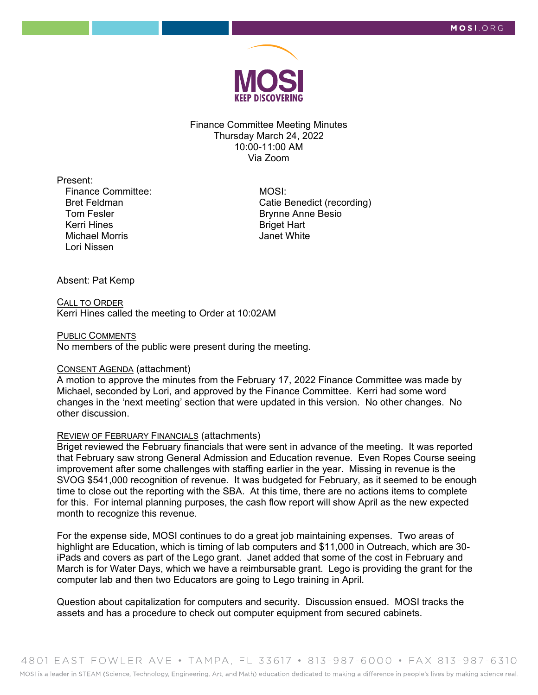

Finance Committee Meeting Minutes Thursday March 24, 2022 10:00-11:00 AM Via Zoom

Present:

Finance Committee: Bret Feldman Tom Fesler Kerri Hines Michael Morris Lori Nissen

 MOSI: Catie Benedict (recording) Brynne Anne Besio Briget Hart Janet White

Absent: Pat Kemp

CALL TO ORDER Kerri Hines called the meeting to Order at 10:02AM

#### PUBLIC COMMENTS

No members of the public were present during the meeting.

#### CONSENT AGENDA (attachment)

A motion to approve the minutes from the February 17, 2022 Finance Committee was made by Michael, seconded by Lori, and approved by the Finance Committee. Kerri had some word changes in the 'next meeting' section that were updated in this version. No other changes. No other discussion.

### REVIEW OF FEBRUARY FINANCIALS (attachments)

Briget reviewed the February financials that were sent in advance of the meeting. It was reported that February saw strong General Admission and Education revenue. Even Ropes Course seeing improvement after some challenges with staffing earlier in the year. Missing in revenue is the SVOG \$541,000 recognition of revenue. It was budgeted for February, as it seemed to be enough time to close out the reporting with the SBA. At this time, there are no actions items to complete for this. For internal planning purposes, the cash flow report will show April as the new expected month to recognize this revenue.

For the expense side, MOSI continues to do a great job maintaining expenses. Two areas of highlight are Education, which is timing of lab computers and \$11,000 in Outreach, which are 30 iPads and covers as part of the Lego grant. Janet added that some of the cost in February and March is for Water Days, which we have a reimbursable grant. Lego is providing the grant for the computer lab and then two Educators are going to Lego training in April.

Question about capitalization for computers and security. Discussion ensued. MOSI tracks the assets and has a procedure to check out computer equipment from secured cabinets.